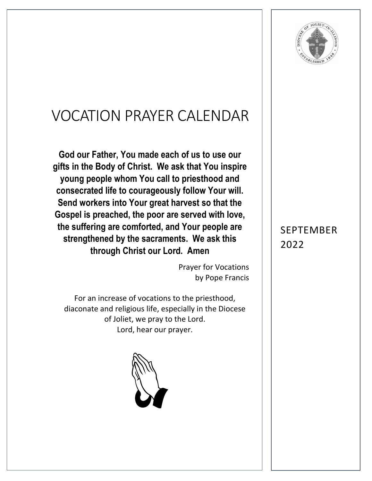

## VOCATION PRAYER CALENDAR

**God our Father, You made each of us to use our gifts in the Body of Christ. We ask that You inspire young people whom You call to priesthood and consecrated life to courageously follow Your will. Send workers into Your great harvest so that the Gospel is preached, the poor are served with love, the suffering are comforted, and Your people are strengthened by the sacraments. We ask this through Christ our Lord. Amen**

> Prayer for Vocations by Pope Francis

For an increase of vocations to the priesthood, diaconate and religious life, especially in the Diocese of Joliet, we pray to the Lord. Lord, hear our prayer.



## SEPTEMBER 2022